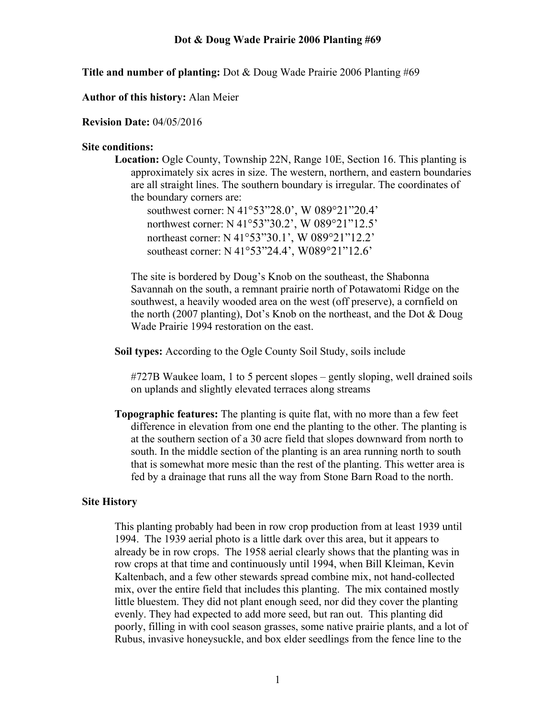**Title and number of planting:** Dot & Doug Wade Prairie 2006 Planting #69

**Author of this history:** Alan Meier

#### **Revision Date:** 04/05/2016

#### **Site conditions:**

**Location:** Ogle County, Township 22N, Range 10E, Section 16. This planting is approximately six acres in size. The western, northern, and eastern boundaries are all straight lines. The southern boundary is irregular. The coordinates of the boundary corners are:

southwest corner: N 41°53"28.0', W 089°21"20.4' northwest corner: N 41°53"30.2', W 089°21"12.5' northeast corner: N 41°53"30.1', W 089°21"12.2' southeast corner: N 41°53"24.4', W089°21"12.6'

The site is bordered by Doug's Knob on the southeast, the Shabonna Savannah on the south, a remnant prairie north of Potawatomi Ridge on the southwest, a heavily wooded area on the west (off preserve), a cornfield on the north (2007 planting), Dot's Knob on the northeast, and the Dot & Doug Wade Prairie 1994 restoration on the east.

**Soil types:** According to the Ogle County Soil Study, soils include

#727B Waukee loam, 1 to 5 percent slopes – gently sloping, well drained soils on uplands and slightly elevated terraces along streams

**Topographic features:** The planting is quite flat, with no more than a few feet difference in elevation from one end the planting to the other. The planting is at the southern section of a 30 acre field that slopes downward from north to south. In the middle section of the planting is an area running north to south that is somewhat more mesic than the rest of the planting. This wetter area is fed by a drainage that runs all the way from Stone Barn Road to the north.

#### **Site History**

This planting probably had been in row crop production from at least 1939 until 1994. The 1939 aerial photo is a little dark over this area, but it appears to already be in row crops. The 1958 aerial clearly shows that the planting was in row crops at that time and continuously until 1994, when Bill Kleiman, Kevin Kaltenbach, and a few other stewards spread combine mix, not hand-collected mix, over the entire field that includes this planting. The mix contained mostly little bluestem. They did not plant enough seed, nor did they cover the planting evenly. They had expected to add more seed, but ran out. This planting did poorly, filling in with cool season grasses, some native prairie plants, and a lot of Rubus, invasive honeysuckle, and box elder seedlings from the fence line to the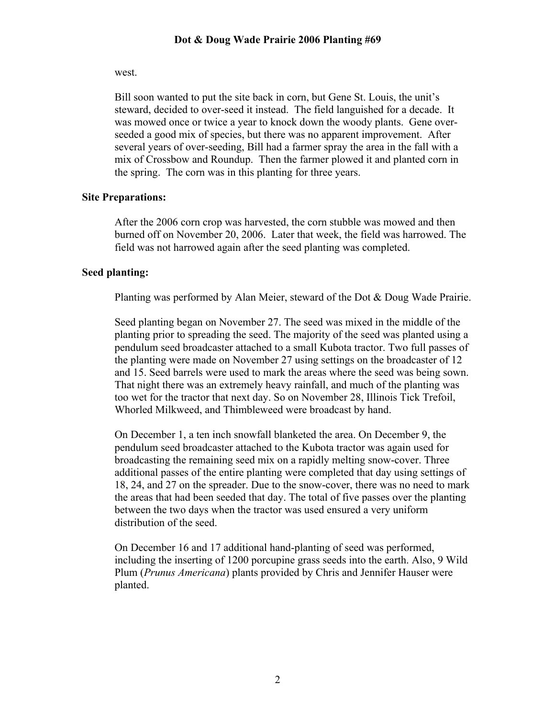### west.

Bill soon wanted to put the site back in corn, but Gene St. Louis, the unit's steward, decided to over-seed it instead. The field languished for a decade. It was mowed once or twice a year to knock down the woody plants. Gene overseeded a good mix of species, but there was no apparent improvement. After several years of over-seeding, Bill had a farmer spray the area in the fall with a mix of Crossbow and Roundup. Then the farmer plowed it and planted corn in the spring. The corn was in this planting for three years.

# **Site Preparations:**

After the 2006 corn crop was harvested, the corn stubble was mowed and then burned off on November 20, 2006. Later that week, the field was harrowed. The field was not harrowed again after the seed planting was completed.

# **Seed planting:**

Planting was performed by Alan Meier, steward of the Dot & Doug Wade Prairie.

Seed planting began on November 27. The seed was mixed in the middle of the planting prior to spreading the seed. The majority of the seed was planted using a pendulum seed broadcaster attached to a small Kubota tractor. Two full passes of the planting were made on November 27 using settings on the broadcaster of 12 and 15. Seed barrels were used to mark the areas where the seed was being sown. That night there was an extremely heavy rainfall, and much of the planting was too wet for the tractor that next day. So on November 28, Illinois Tick Trefoil, Whorled Milkweed, and Thimbleweed were broadcast by hand.

On December 1, a ten inch snowfall blanketed the area. On December 9, the pendulum seed broadcaster attached to the Kubota tractor was again used for broadcasting the remaining seed mix on a rapidly melting snow-cover. Three additional passes of the entire planting were completed that day using settings of 18, 24, and 27 on the spreader. Due to the snow-cover, there was no need to mark the areas that had been seeded that day. The total of five passes over the planting between the two days when the tractor was used ensured a very uniform distribution of the seed.

On December 16 and 17 additional hand-planting of seed was performed, including the inserting of 1200 porcupine grass seeds into the earth. Also, 9 Wild Plum (*Prunus Americana*) plants provided by Chris and Jennifer Hauser were planted.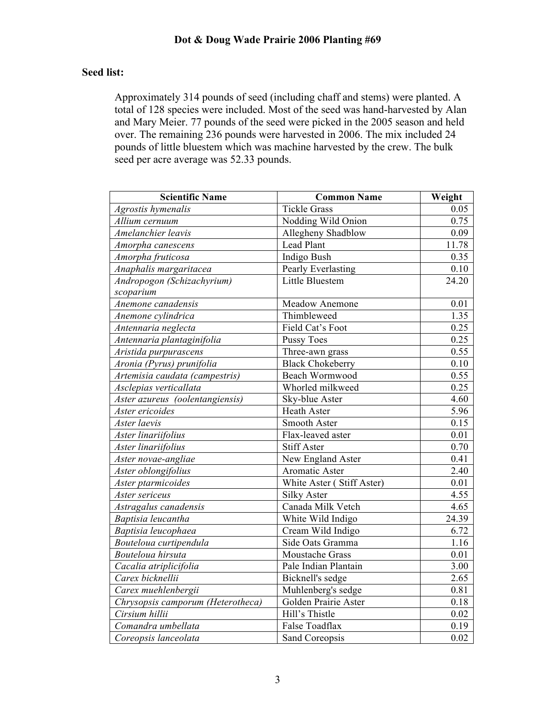# **Seed list:**

Approximately 314 pounds of seed (including chaff and stems) were planted. A total of 128 species were included. Most of the seed was hand-harvested by Alan and Mary Meier. 77 pounds of the seed were picked in the 2005 season and held over. The remaining 236 pounds were harvested in 2006. The mix included 24 pounds of little bluestem which was machine harvested by the crew. The bulk seed per acre average was 52.33 pounds.

| <b>Scientific Name</b>            | <b>Common Name</b>        | Weight            |
|-----------------------------------|---------------------------|-------------------|
| Agrostis hymenalis                | <b>Tickle Grass</b>       | 0.05              |
| Allium cernuum                    | Nodding Wild Onion        | 0.75              |
| Amelanchier leavis                | Allegheny Shadblow        | 0.09              |
| Amorpha canescens                 | Lead Plant                | 11.78             |
| Amorpha fruticosa                 | <b>Indigo Bush</b>        | 0.35              |
| Anaphalis margaritacea            | Pearly Everlasting        | $\overline{0.10}$ |
| Andropogon (Schizachyrium)        | Little Bluestem           | 24.20             |
| scoparium                         |                           |                   |
| Anemone canadensis                | Meadow Anemone            | 0.01              |
| Anemone cylindrica                | Thimbleweed               | 1.35              |
| Antennaria neglecta               | Field Cat's Foot          | 0.25              |
| Antennaria plantaginifolia        | <b>Pussy Toes</b>         | 0.25              |
| Aristida purpurascens             | Three-awn grass           | 0.55              |
| Aronia (Pyrus) prunifolia         | <b>Black Chokeberry</b>   | 0.10              |
| Artemisia caudata (campestris)    | Beach Wormwood            | 0.55              |
| Asclepias verticallata            | Whorled milkweed          | 0.25              |
| Aster azureus (oolentangiensis)   | Sky-blue Aster            | 4.60              |
| Aster ericoides                   | <b>Heath Aster</b>        | 5.96              |
| Aster laevis                      | Smooth Aster              | 0.15              |
| Aster linariifolius               | Flax-leaved aster         | 0.01              |
| Aster linariifolius               | <b>Stiff Aster</b>        | 0.70              |
| Aster novae-angliae               | New England Aster         | 0.41              |
| Aster oblongifolius               | Aromatic Aster            | 2.40              |
| Aster ptarmicoides                | White Aster (Stiff Aster) | 0.01              |
| Aster sericeus                    | <b>Silky Aster</b>        | 4.55              |
| Astragalus canadensis             | Canada Milk Vetch         | 4.65              |
| Baptisia leucantha                | White Wild Indigo         | 24.39             |
| Baptisia leucophaea               | Cream Wild Indigo         | 6.72              |
| Bouteloua curtipendula            | Side Oats Gramma          | 1.16              |
| Bouteloua hirsuta                 | <b>Moustache Grass</b>    | 0.01              |
| Cacalia atriplicifolia            | Pale Indian Plantain      | 3.00              |
| Carex bicknellii                  | Bicknell's sedge          | 2.65              |
| Carex muehlenbergii               | Muhlenberg's sedge        | 0.81              |
| Chrysopsis camporum (Heterotheca) | Golden Prairie Aster      | 0.18              |
| Cirsium hillii                    | Hill's Thistle            | 0.02              |
| Comandra umbellata                | <b>False Toadflax</b>     | 0.19              |
| Coreopsis lanceolata              | Sand Coreopsis            | 0.02              |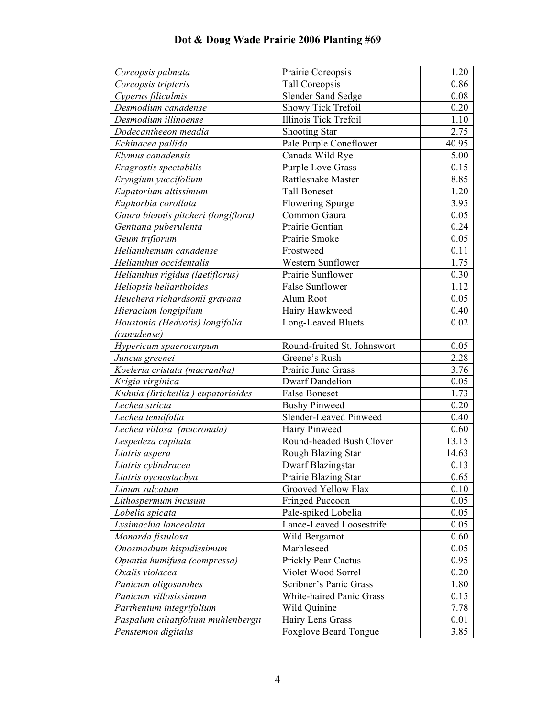| Coreopsis palmata                   | Prairie Coreopsis            | 1.20  |
|-------------------------------------|------------------------------|-------|
| Coreopsis tripteris                 | Tall Coreopsis               | 0.86  |
| Cyperus filiculmis                  | <b>Slender Sand Sedge</b>    | 0.08  |
| Desmodium canadense                 | Showy Tick Trefoil           | 0.20  |
| Desmodium illinoense                | <b>Illinois Tick Trefoil</b> | 1.10  |
| Dodecantheeon meadia                | Shooting Star                | 2.75  |
| Echinacea pallida                   | Pale Purple Coneflower       | 40.95 |
| Elymus canadensis                   | Canada Wild Rye              | 5.00  |
| Eragrostis spectabilis              | <b>Purple Love Grass</b>     | 0.15  |
| Eryngium yuccifolium                | Rattlesnake Master           | 8.85  |
| Eupatorium altissimum               | <b>Tall Boneset</b>          | 1.20  |
| Euphorbia corollata                 | <b>Flowering Spurge</b>      | 3.95  |
| Gaura biennis pitcheri (longiflora) | Common Gaura                 | 0.05  |
| Gentiana puberulenta                | Prairie Gentian              | 0.24  |
| Geum triflorum                      | Prairie Smoke                | 0.05  |
| Helianthemum canadense              | Frostweed                    | 0.11  |
| Helianthus occidentalis             | Western Sunflower            | 1.75  |
| Helianthus rigidus (laetiflorus)    | Prairie Sunflower            | 0.30  |
| Heliopsis helianthoides             | <b>False Sunflower</b>       | 1.12  |
| Heuchera richardsonii grayana       | Alum Root                    | 0.05  |
| Hieracium longipilum                | Hairy Hawkweed               | 0.40  |
| Houstonia (Hedyotis) longifolia     | Long-Leaved Bluets           | 0.02  |
| (canadense)                         |                              |       |
| Hypericum spaerocarpum              | Round-fruited St. Johnswort  | 0.05  |
| Juncus greenei                      | Greene's Rush                | 2.28  |
| Koeleria cristata (macrantha)       | Prairie June Grass           | 3.76  |
| Krigia virginica                    | <b>Dwarf Dandelion</b>       | 0.05  |
| Kuhnia (Brickellia) eupatorioides   | <b>False Boneset</b>         | 1.73  |
| Lechea stricta                      | <b>Bushy Pinweed</b>         | 0.20  |
| Lechea tenuifolia                   | Slender-Leaved Pinweed       | 0.40  |
| Lechea villosa (mucronata)          | Hairy Pinweed                | 0.60  |
| Lespedeza capitata                  | Round-headed Bush Clover     | 13.15 |
| Liatris aspera                      | Rough Blazing Star           | 14.63 |
| Liatris cylindracea                 | Dwarf Blazingstar            | 0.13  |
| Liatris pycnostachya                | Prairie Blazing Star         | 0.65  |
| Linum sulcatum                      | Grooved Yellow Flax          | 0.10  |
| Lithospermum incisum                | <b>Fringed Puccoon</b>       | 0.05  |
| Lobelia spicata                     | Pale-spiked Lobelia          | 0.05  |
| Lysimachia lanceolata               | Lance-Leaved Loosestrife     | 0.05  |
| Monarda fistulosa                   | Wild Bergamot                | 0.60  |
| Onosmodium hispidissimum            | Marbleseed                   | 0.05  |
| Opuntia humifusa (compressa)        | Prickly Pear Cactus          | 0.95  |
| Oxalis violacea                     | Violet Wood Sorrel           | 0.20  |
| Panicum oligosanthes                | Scribner's Panic Grass       | 1.80  |
| Panicum villosissimum               | White-haired Panic Grass     | 0.15  |
| Parthenium integrifolium            | Wild Quinine                 | 7.78  |
| Paspalum ciliatifolium muhlenbergii | Hairy Lens Grass             | 0.01  |
| Penstemon digitalis                 | <b>Foxglove Beard Tongue</b> | 3.85  |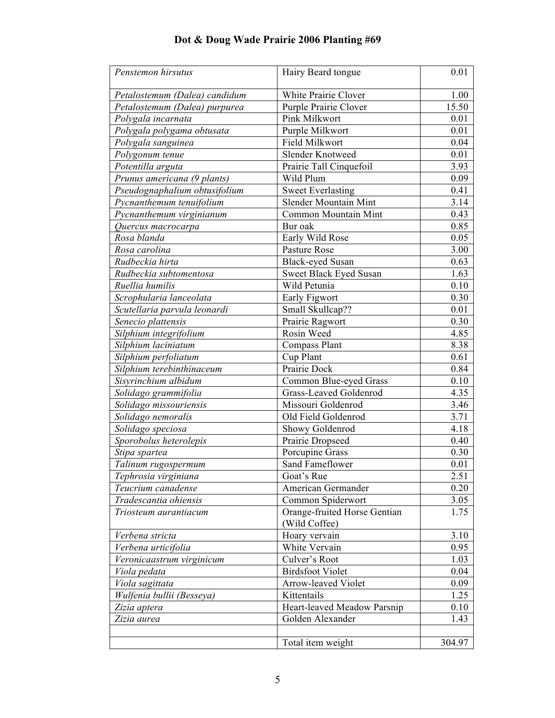| Penstemon hirsutus            | Hairy Beard tongue                            | 0.01   |
|-------------------------------|-----------------------------------------------|--------|
| Petalostemum (Dalea) candidum | White Prairie Clover                          | 1.00   |
| Petalostemum (Dalea) purpurea | Purple Prairie Clover                         | 15.50  |
| Polygala incarnata            | Pink Milkwort                                 | 0.01   |
| Polygala polygama obtusata    | Purple Milkwort                               | 0.01   |
| Polygala sanguinea            | Field Milkwort                                | 0.04   |
| Polygonum tenue               | Slender Knotweed                              | 0.01   |
| Potentilla arguta             | Prairie Tall Cinquefoil                       | 3.93   |
| Prunus americana (9 plants)   | Wild Plum                                     | 0.09   |
| Pseudognaphalium obtusifolium | <b>Sweet Everlasting</b>                      | 0.41   |
| Pycnanthemum tenuifolium      | <b>Slender Mountain Mint</b>                  | 3.14   |
| Pycnanthemum virginianum      | Common Mountain Mint                          | 0.43   |
| Quercus macrocarpa            | Bur oak                                       | 0.85   |
| Rosa blanda                   | Early Wild Rose                               | 0.05   |
| Rosa carolina                 | Pasture Rose                                  | 3.00   |
| Rudbeckia hirta               | <b>Black-eyed Susan</b>                       | 0.63   |
| Rudbeckia subtomentosa        | Sweet Black Eyed Susan                        | 1.63   |
| Ruellia humilis               | Wild Petunia                                  | 0.10   |
| Scrophularia lanceolata       | Early Figwort                                 | 0.30   |
| Scutellaria parvula leonardi  | Small Skullcap??                              | 0.01   |
| Senecio plattensis            | Prairie Ragwort                               | 0.30   |
| Silphium integrifolium        | Rosin Weed                                    | 4.85   |
| Silphium laciniatum           | <b>Compass Plant</b>                          | 8.38   |
| Silphium perfoliatum          | Cup Plant                                     | 0.61   |
| Silphium terebinthinaceum     | Prairie Dock                                  | 0.84   |
| Sisyrinchium albidum          | Common Blue-eyed Grass                        | 0.10   |
| Solidago grammifolia          | Grass-Leaved Goldenrod                        | 4.35   |
| Solidago missouriensis        | Missouri Goldenrod                            | 3.46   |
| Solidago nemoralis            | Old Field Goldenrod                           | 3.71   |
| Solidago speciosa             | Showy Goldenrod                               | 4.18   |
| Sporobolus heterolepis        | Prairie Dropseed                              | 0.40   |
| Stipa spartea                 | Porcupine Grass                               | 0.30   |
| Talinum rugospermum           | Sand Fameflower                               | 0.01   |
| Tephrosia virginiana          | Goat's Rue                                    | 2.51   |
| Teucrium canadense            | American Germander                            | 0.20   |
| Tradescantia ohiensis         | Common Spiderwort                             | 3.05   |
| Triosteum aurantiacum         | Orange-fruited Horse Gentian<br>(Wild Coffee) | 1.75   |
| Verbena stricta               | Hoary vervain                                 | 3.10   |
| Verbena urticifolia           | White Vervain                                 | 0.95   |
| Veronicaastrum virginicum     | Culver's Root                                 | 1.03   |
| Viola pedata                  | <b>Birdsfoot Violet</b>                       | 0.04   |
| Viola sagittata               | Arrow-leaved Violet                           | 0.09   |
| Wulfenia bullii (Besseya)     | Kittentails                                   | 1.25   |
| Zizia aptera                  | Heart-leaved Meadow Parsnip                   | 0.10   |
| Zizia aurea                   | Golden Alexander                              | 1.43   |
|                               |                                               |        |
|                               | Total item weight                             | 304.97 |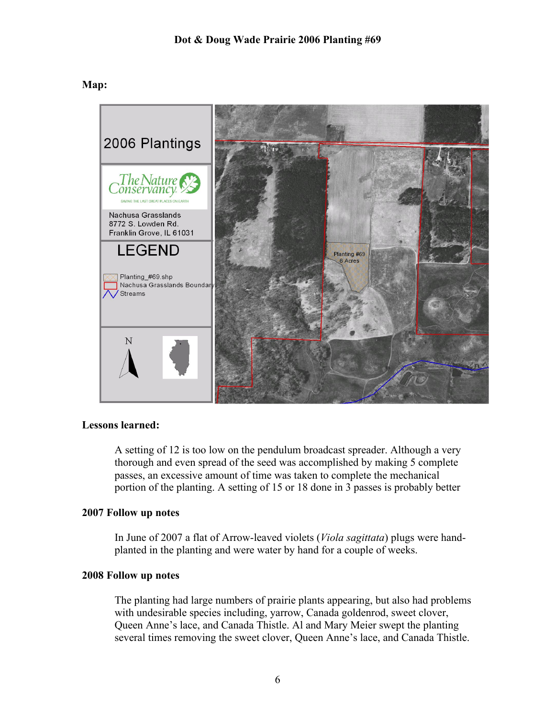**Map:** 



# **Lessons learned:**

A setting of 12 is too low on the pendulum broadcast spreader. Although a very thorough and even spread of the seed was accomplished by making 5 complete passes, an excessive amount of time was taken to complete the mechanical portion of the planting. A setting of 15 or 18 done in 3 passes is probably better

#### **2007 Follow up notes**

In June of 2007 a flat of Arrow-leaved violets (*Viola sagittata*) plugs were handplanted in the planting and were water by hand for a couple of weeks.

#### **2008 Follow up notes**

The planting had large numbers of prairie plants appearing, but also had problems with undesirable species including, yarrow, Canada goldenrod, sweet clover, Queen Anne's lace, and Canada Thistle. Al and Mary Meier swept the planting several times removing the sweet clover, Queen Anne's lace, and Canada Thistle.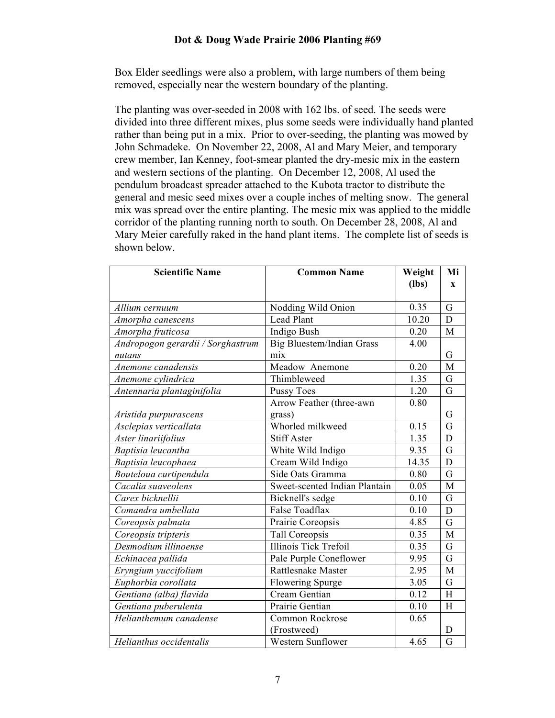Box Elder seedlings were also a problem, with large numbers of them being removed, especially near the western boundary of the planting.

The planting was over-seeded in 2008 with 162 lbs. of seed. The seeds were divided into three different mixes, plus some seeds were individually hand planted rather than being put in a mix. Prior to over-seeding, the planting was mowed by John Schmadeke. On November 22, 2008, Al and Mary Meier, and temporary crew member, Ian Kenney, foot-smear planted the dry-mesic mix in the eastern and western sections of the planting. On December 12, 2008, Al used the pendulum broadcast spreader attached to the Kubota tractor to distribute the general and mesic seed mixes over a couple inches of melting snow. The general mix was spread over the entire planting. The mesic mix was applied to the middle corridor of the planting running north to south. On December 28, 2008, Al and Mary Meier carefully raked in the hand plant items. The complete list of seeds is shown below.

| <b>Scientific Name</b>            | <b>Common Name</b>               | Weight  | Mi           |
|-----------------------------------|----------------------------------|---------|--------------|
|                                   |                                  | $(lbs)$ | $\mathbf{x}$ |
|                                   |                                  |         |              |
| Allium cernuum                    | Nodding Wild Onion               | 0.35    | G            |
| Amorpha canescens                 | <b>Lead Plant</b>                | 10.20   | D            |
| Amorpha fruticosa                 | Indigo Bush                      | 0.20    | M            |
| Andropogon gerardii / Sorghastrum | <b>Big Bluestem/Indian Grass</b> | 4.00    |              |
| nutans                            | mix                              |         | G            |
| Anemone canadensis                | Meadow Anemone                   | 0.20    | M            |
| Anemone cylindrica                | Thimbleweed                      | 1.35    | G            |
| Antennaria plantaginifolia        | <b>Pussy Toes</b>                | 1.20    | G            |
|                                   | Arrow Feather (three-awn         | 0.80    |              |
| Aristida purpurascens             | grass)                           |         | G            |
| Asclepias verticallata            | Whorled milkweed                 | 0.15    | G            |
| Aster linariifolius               | <b>Stiff Aster</b>               | 1.35    | D            |
| Baptisia leucantha                | White Wild Indigo                | 9.35    | G            |
| Baptisia leucophaea               | Cream Wild Indigo                | 14.35   | D            |
| Bouteloua curtipendula            | Side Oats Gramma                 | 0.80    | G            |
| Cacalia suaveolens                | Sweet-scented Indian Plantain    | 0.05    | M            |
| Carex bicknellii                  | Bicknell's sedge                 | 0.10    | G            |
| Comandra umbellata                | False Toadflax                   | 0.10    | D            |
| Coreopsis palmata                 | Prairie Coreopsis                | 4.85    | G            |
| Coreopsis tripteris               | Tall Coreopsis                   | 0.35    | $\mathbf{M}$ |
| Desmodium illinoense              | <b>Illinois Tick Trefoil</b>     | 0.35    | G            |
| Echinacea pallida                 | Pale Purple Coneflower           | 9.95    | G            |
| Eryngium yuccifolium              | Rattlesnake Master               | 2.95    | $\mathbf{M}$ |
| Euphorbia corollata               | Flowering Spurge                 | 3.05    | G            |
| Gentiana (alba) flavida           | Cream Gentian                    | 0.12    | H            |
| Gentiana puberulenta              | Prairie Gentian                  | 0.10    | H            |
| Helianthemum canadense            | Common Rockrose                  | 0.65    |              |
|                                   | (Frostweed)                      |         | D            |
| Helianthus occidentalis           | <b>Western Sunflower</b>         | 4.65    | G            |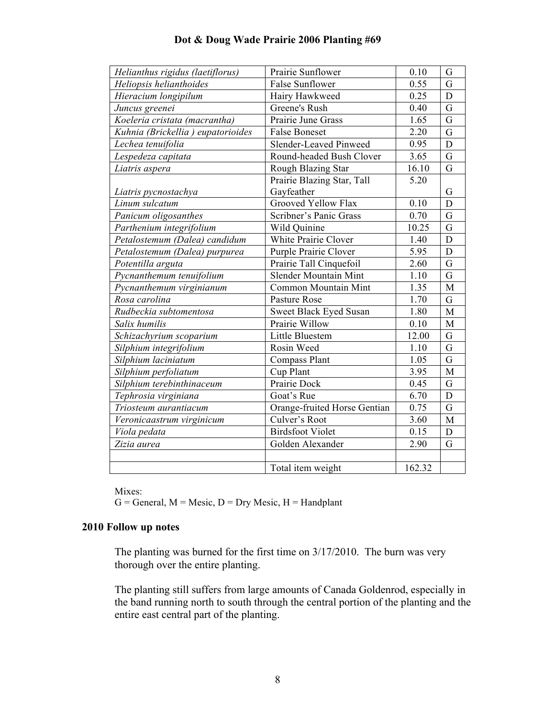| Helianthus rigidus (laetiflorus)  | Prairie Sunflower            | 0.10               | G              |
|-----------------------------------|------------------------------|--------------------|----------------|
| Heliopsis helianthoides           | <b>False Sunflower</b>       | 0.55               | G              |
| Hieracium longipilum              | Hairy Hawkweed               | 0.25               | D              |
| Juncus greenei                    | Greene's Rush                | 0.40               | G              |
| Koeleria cristata (macrantha)     | Prairie June Grass           | 1.65               | G              |
| Kuhnia (Brickellia) eupatorioides | <b>False Boneset</b>         | $\overline{2}.20$  | $\overline{G}$ |
| Lechea tenuifolia                 | Slender-Leaved Pinweed       | 0.95               | D              |
| Lespedeza capitata                | Round-headed Bush Clover     | 3.65               | G              |
| Liatris aspera                    | Rough Blazing Star           | $\overline{16.10}$ | G              |
|                                   | Prairie Blazing Star, Tall   | 5.20               |                |
| Liatris pycnostachya              | Gayfeather                   |                    | G              |
| Linum sulcatum                    | Grooved Yellow Flax          | 0.10               | D              |
| Panicum oligosanthes              | Scribner's Panic Grass       | 0.70               | G              |
| Parthenium integrifolium          | Wild Quinine                 | 10.25              | G              |
| Petalostemum (Dalea) candidum     | White Prairie Clover         | 1.40               | D              |
| Petalostemum (Dalea) purpurea     | Purple Prairie Clover        | 5.95               | D              |
| Potentilla arguta                 | Prairie Tall Cinquefoil      | 2.60               | G              |
| Pycnanthemum tenuifolium          | <b>Slender Mountain Mint</b> | 1.10               | G              |
| Pycnanthemum virginianum          | Common Mountain Mint         | 1.35               | M              |
| Rosa carolina                     | Pasture Rose                 | 1.70               | G              |
| Rudbeckia subtomentosa            | Sweet Black Eyed Susan       | 1.80               | $\overline{M}$ |
| Salix humilis                     | Prairie Willow               | 0.10               | M              |
| Schizachyrium scoparium           | Little Bluestem              | 12.00              | G              |
| Silphium integrifolium            | Rosin Weed                   | 1.10               | G              |
| Silphium laciniatum               | Compass Plant                | 1.05               | G              |
| Silphium perfoliatum              | Cup Plant                    | 3.95               | M              |
| Silphium terebinthinaceum         | Prairie Dock                 | 0.45               | G              |
| Tephrosia virginiana              | Goat's Rue                   | 6.70               | $\mathbf D$    |
| Triosteum aurantiacum             | Orange-fruited Horse Gentian | 0.75               | G              |
| Veronicaastrum virginicum         | Culver's Root                | 3.60               | $\mathbf{M}$   |
| Viola pedata                      | <b>Birdsfoot Violet</b>      | 0.15               | $\mathbf D$    |
| Zizia aurea                       | Golden Alexander             | 2.90               | G              |
|                                   |                              |                    |                |
|                                   | Total item weight            | 162.32             |                |

Mixes:

 $G =$  General,  $M =$  Mesic,  $D =$  Dry Mesic,  $H =$  Handplant

# **2010 Follow up notes**

The planting was burned for the first time on 3/17/2010. The burn was very thorough over the entire planting.

The planting still suffers from large amounts of Canada Goldenrod, especially in the band running north to south through the central portion of the planting and the entire east central part of the planting.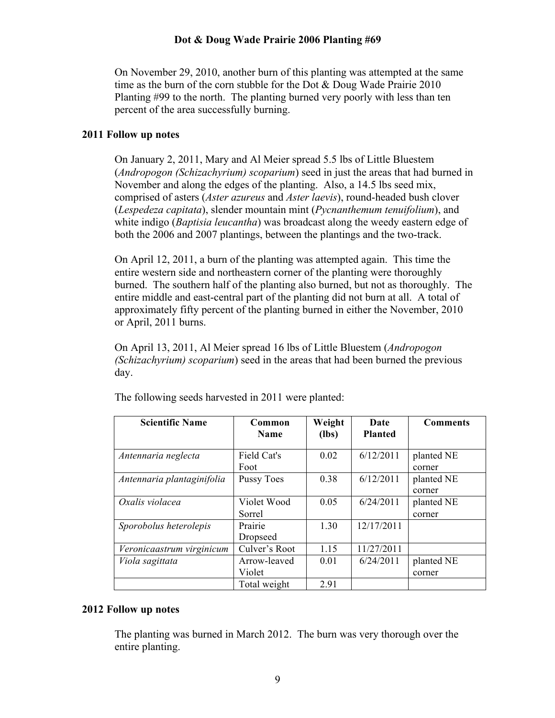On November 29, 2010, another burn of this planting was attempted at the same time as the burn of the corn stubble for the Dot & Doug Wade Prairie 2010 Planting #99 to the north. The planting burned very poorly with less than ten percent of the area successfully burning.

### **2011 Follow up notes**

On January 2, 2011, Mary and Al Meier spread 5.5 lbs of Little Bluestem (*Andropogon (Schizachyrium) scoparium*) seed in just the areas that had burned in November and along the edges of the planting. Also, a 14.5 lbs seed mix, comprised of asters (*Aster azureus* and *Aster laevis*), round-headed bush clover (*Lespedeza capitata*), slender mountain mint (*Pycnanthemum tenuifolium*), and white indigo (*Baptisia leucantha*) was broadcast along the weedy eastern edge of both the 2006 and 2007 plantings, between the plantings and the two-track.

On April 12, 2011, a burn of the planting was attempted again. This time the entire western side and northeastern corner of the planting were thoroughly burned. The southern half of the planting also burned, but not as thoroughly. The entire middle and east-central part of the planting did not burn at all. A total of approximately fifty percent of the planting burned in either the November, 2010 or April, 2011 burns.

On April 13, 2011, Al Meier spread 16 lbs of Little Bluestem (*Andropogon (Schizachyrium) scoparium*) seed in the areas that had been burned the previous day.

| <b>Scientific Name</b>     | Common                 | Weight  | Date           | <b>Comments</b>      |
|----------------------------|------------------------|---------|----------------|----------------------|
|                            | <b>Name</b>            | $(lbs)$ | <b>Planted</b> |                      |
| Antennaria neglecta        | Field Cat's<br>Foot    | 0.02    | 6/12/2011      | planted NE<br>corner |
| Antennaria plantaginifolia | <b>Pussy Toes</b>      | 0.38    | 6/12/2011      | planted NE<br>corner |
| Oxalis violacea            | Violet Wood<br>Sorrel  | 0.05    | 6/24/2011      | planted NE<br>corner |
| Sporobolus heterolepis     | Prairie<br>Dropseed    | 1.30    | 12/17/2011     |                      |
| Veronicaastrum virginicum  | Culver's Root          | 1.15    | 11/27/2011     |                      |
| Viola sagittata            | Arrow-leaved<br>Violet | 0.01    | 6/24/2011      | planted NE<br>corner |
|                            | Total weight           | 2.91    |                |                      |

The following seeds harvested in 2011 were planted:

# **2012 Follow up notes**

The planting was burned in March 2012. The burn was very thorough over the entire planting.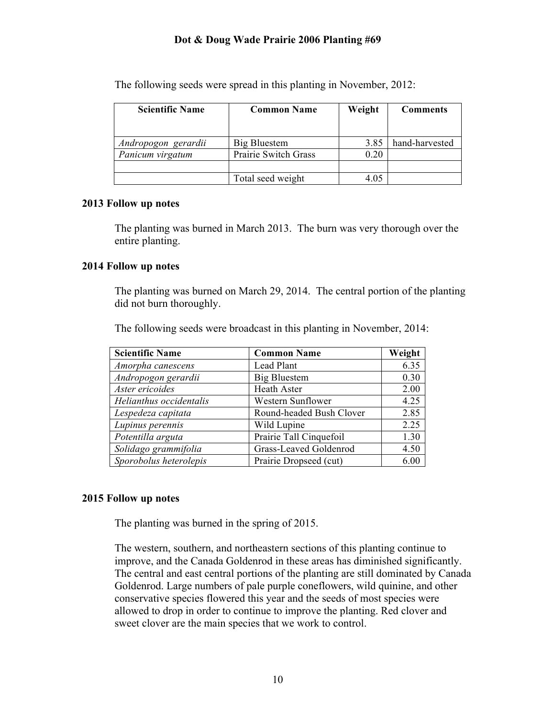| <b>Scientific Name</b> | <b>Common Name</b>   | Weight | <b>Comments</b> |
|------------------------|----------------------|--------|-----------------|
|                        |                      |        |                 |
|                        |                      |        |                 |
| Andropogon gerardii    | Big Bluestem         | 3.85   | hand-harvested  |
| Panicum virgatum       | Prairie Switch Grass | 0.20   |                 |
|                        |                      |        |                 |
|                        | Total seed weight    | 4.05   |                 |

The following seeds were spread in this planting in November, 2012:

#### **2013 Follow up notes**

The planting was burned in March 2013. The burn was very thorough over the entire planting.

#### **2014 Follow up notes**

The planting was burned on March 29, 2014. The central portion of the planting did not burn thoroughly.

The following seeds were broadcast in this planting in November, 2014:

| <b>Scientific Name</b>  | <b>Common Name</b>       | Weight |
|-------------------------|--------------------------|--------|
| Amorpha canescens       | Lead Plant               | 6.35   |
| Andropogon gerardii     | <b>Big Bluestem</b>      | 0.30   |
| Aster ericoides         | Heath Aster              | 2.00   |
| Helianthus occidentalis | Western Sunflower        | 4.25   |
| Lespedeza capitata      | Round-headed Bush Clover | 2.85   |
| Lupinus perennis        | Wild Lupine              | 2.25   |
| Potentilla arguta       | Prairie Tall Cinquefoil  | 1.30   |
| Solidago grammifolia    | Grass-Leaved Goldenrod   | 4.50   |
| Sporobolus heterolepis  | Prairie Dropseed (cut)   | 6.00   |

#### **2015 Follow up notes**

The planting was burned in the spring of 2015.

The western, southern, and northeastern sections of this planting continue to improve, and the Canada Goldenrod in these areas has diminished significantly. The central and east central portions of the planting are still dominated by Canada Goldenrod. Large numbers of pale purple coneflowers, wild quinine, and other conservative species flowered this year and the seeds of most species were allowed to drop in order to continue to improve the planting. Red clover and sweet clover are the main species that we work to control.